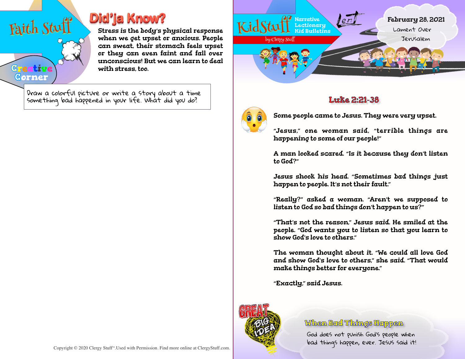

**Creative Corner**

## **Did'ja Know?**

Stress is the body's physical response when we get upset or anxious. People can sweat, their stomach feels upset or they can even faint and fall over unconscious! But we can learn to deal with stress, too.

Draw a colorful picture or write a story about a time something bad happened in your life. What did you do?  $\parallel$   $\parallel$ 





Some people came to Jesus. They were very upset.

"Jesus," one woman said, "terrible things are happening to some of our people!"

A man looked scared. "Is it because they don't listen to God?"

Jesus shook his head. "Sometimes bad things just happen to people. It's not their fault."

"Really?" asked a woman. "Aren't we supposed to listen to God so bad things don't happen to us?"

"That's not the reason," Jesus said. He smiled at the people. "God wants you to listen so that you learn to show God's love to others."

The woman thought about it. "We could all love God and show God's love to others," she said. "That would make things better for everyone."

"Exactly," said Jesus.



## **When Bad Things Happen**

God does not punish God's people when bad things happen, ever. Jesus said it!

Copyright © 2020 Clergy Stuff™. Used with Permission. Find more online at ClergyStuff.com.